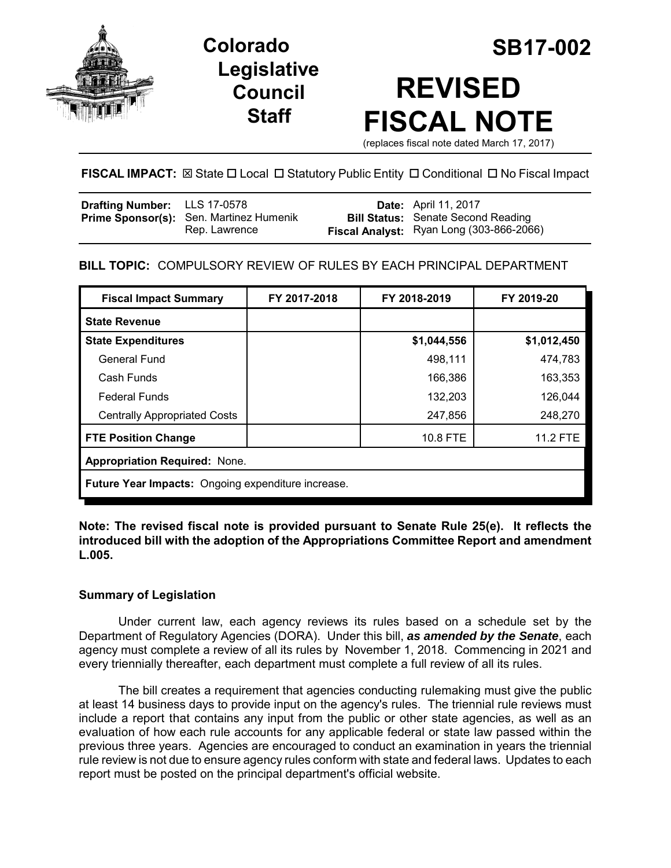

**Legislative Council Staff**

# **Colorado SB17-002 REVISED FISCAL NOTE**

(replaces fiscal note dated March 17, 2017)

# **FISCAL IMPACT:** ⊠ State □ Local □ Statutory Public Entity □ Conditional □ No Fiscal Impact

| <b>Drafting Number:</b> LLS 17-0578 |                                                | <b>Date:</b> April 11, 2017               |
|-------------------------------------|------------------------------------------------|-------------------------------------------|
|                                     | <b>Prime Sponsor(s):</b> Sen. Martinez Humenik | <b>Bill Status:</b> Senate Second Reading |
|                                     | Rep. Lawrence                                  | Fiscal Analyst: Ryan Long (303-866-2066)  |

### **BILL TOPIC:** COMPULSORY REVIEW OF RULES BY EACH PRINCIPAL DEPARTMENT

| <b>Fiscal Impact Summary</b>                       | FY 2017-2018 | FY 2018-2019 | FY 2019-20      |  |  |
|----------------------------------------------------|--------------|--------------|-----------------|--|--|
| <b>State Revenue</b>                               |              |              |                 |  |  |
| <b>State Expenditures</b>                          |              | \$1,044,556  | \$1,012,450     |  |  |
| General Fund                                       |              | 498,111      | 474,783         |  |  |
| Cash Funds                                         |              | 166,386      | 163,353         |  |  |
| <b>Federal Funds</b>                               |              | 132,203      | 126,044         |  |  |
| <b>Centrally Appropriated Costs</b>                |              | 247,856      | 248,270         |  |  |
| <b>FTE Position Change</b>                         |              | 10.8 FTE     | <b>11.2 FTE</b> |  |  |
| <b>Appropriation Required: None.</b>               |              |              |                 |  |  |
| Future Year Impacts: Ongoing expenditure increase. |              |              |                 |  |  |

**Note: The revised fiscal note is provided pursuant to Senate Rule 25(e). It reflects the introduced bill with the adoption of the Appropriations Committee Report and amendment L.005.** 

#### **Summary of Legislation**

Under current law, each agency reviews its rules based on a schedule set by the Department of Regulatory Agencies (DORA). Under this bill, *as amended by the Senate*, each agency must complete a review of all its rules by November 1, 2018. Commencing in 2021 and every triennially thereafter, each department must complete a full review of all its rules.

The bill creates a requirement that agencies conducting rulemaking must give the public at least 14 business days to provide input on the agency's rules. The triennial rule reviews must include a report that contains any input from the public or other state agencies, as well as an evaluation of how each rule accounts for any applicable federal or state law passed within the previous three years. Agencies are encouraged to conduct an examination in years the triennial rule review is not due to ensure agency rules conform with state and federal laws. Updates to each report must be posted on the principal department's official website.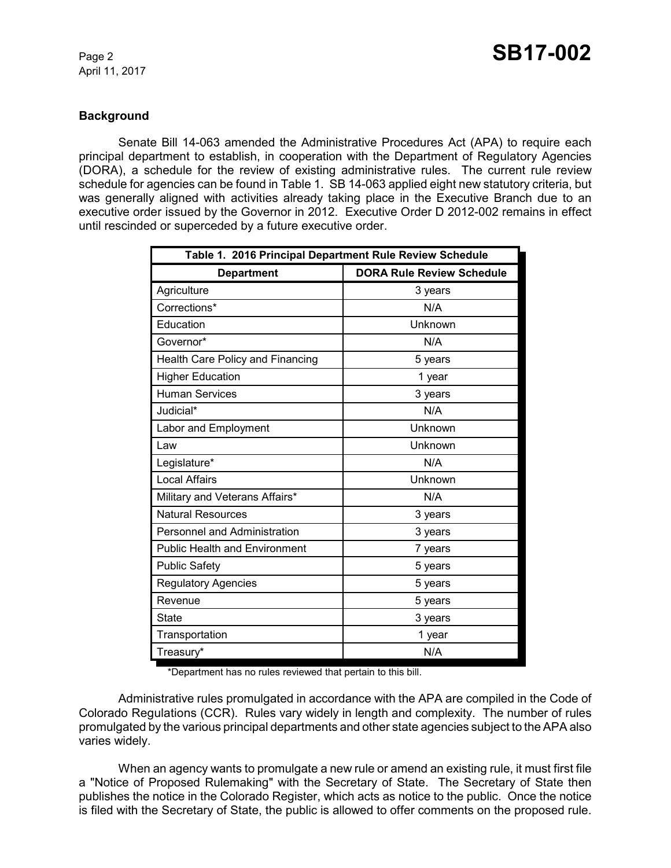#### **Background**

Senate Bill 14-063 amended the Administrative Procedures Act (APA) to require each principal department to establish, in cooperation with the Department of Regulatory Agencies (DORA), a schedule for the review of existing administrative rules. The current rule review schedule for agencies can be found in Table 1. SB 14-063 applied eight new statutory criteria, but was generally aligned with activities already taking place in the Executive Branch due to an executive order issued by the Governor in 2012. Executive Order D 2012-002 remains in effect until rescinded or superceded by a future executive order.

| Table 1. 2016 Principal Department Rule Review Schedule |                                  |  |  |
|---------------------------------------------------------|----------------------------------|--|--|
| <b>Department</b>                                       | <b>DORA Rule Review Schedule</b> |  |  |
| Agriculture                                             | 3 years                          |  |  |
| Corrections*                                            | N/A                              |  |  |
| Education                                               | Unknown                          |  |  |
| Governor*                                               | N/A                              |  |  |
| Health Care Policy and Financing                        | 5 years                          |  |  |
| <b>Higher Education</b>                                 | 1 year                           |  |  |
| <b>Human Services</b>                                   | 3 years                          |  |  |
| Judicial*                                               | N/A                              |  |  |
| Labor and Employment                                    | Unknown                          |  |  |
| Law                                                     | Unknown                          |  |  |
| Legislature*                                            | N/A                              |  |  |
| <b>Local Affairs</b>                                    | Unknown                          |  |  |
| Military and Veterans Affairs*                          | N/A                              |  |  |
| <b>Natural Resources</b>                                | 3 years                          |  |  |
| Personnel and Administration                            | 3 years                          |  |  |
| <b>Public Health and Environment</b>                    | 7 years                          |  |  |
| <b>Public Safety</b>                                    | 5 years                          |  |  |
| <b>Regulatory Agencies</b>                              | 5 years                          |  |  |
| Revenue                                                 | 5 years                          |  |  |
| State                                                   | 3 years                          |  |  |
| Transportation                                          | 1 year                           |  |  |
| Treasury*                                               | N/A                              |  |  |

\*Department has no rules reviewed that pertain to this bill.

Administrative rules promulgated in accordance with the APA are compiled in the Code of Colorado Regulations (CCR). Rules vary widely in length and complexity. The number of rules promulgated by the various principal departments and other state agencies subject to the APA also varies widely.

When an agency wants to promulgate a new rule or amend an existing rule, it must first file a "Notice of Proposed Rulemaking" with the Secretary of State. The Secretary of State then publishes the notice in the Colorado Register, which acts as notice to the public. Once the notice is filed with the Secretary of State, the public is allowed to offer comments on the proposed rule.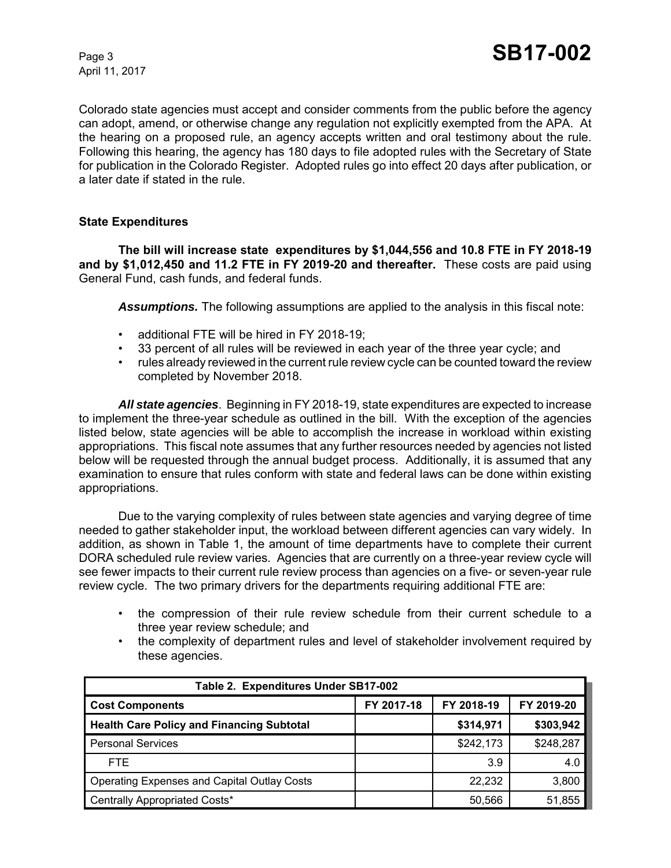Colorado state agencies must accept and consider comments from the public before the agency can adopt, amend, or otherwise change any regulation not explicitly exempted from the APA. At the hearing on a proposed rule, an agency accepts written and oral testimony about the rule. Following this hearing, the agency has 180 days to file adopted rules with the Secretary of State for publication in the Colorado Register. Adopted rules go into effect 20 days after publication, or a later date if stated in the rule.

#### **State Expenditures**

**The bill will increase state expenditures by \$1,044,556 and 10.8 FTE in FY 2018-19 and by \$1,012,450 and 11.2 FTE in FY 2019-20 and thereafter.** These costs are paid using General Fund, cash funds, and federal funds.

*Assumptions.* The following assumptions are applied to the analysis in this fiscal note:

- additional FTE will be hired in FY 2018-19;
- 33 percent of all rules will be reviewed in each year of the three year cycle; and
- rules already reviewed in the current rule review cycle can be counted toward the review completed by November 2018.

*All state agencies*. Beginning in FY 2018-19, state expenditures are expected to increase to implement the three-year schedule as outlined in the bill. With the exception of the agencies listed below, state agencies will be able to accomplish the increase in workload within existing appropriations. This fiscal note assumes that any further resources needed by agencies not listed below will be requested through the annual budget process. Additionally, it is assumed that any examination to ensure that rules conform with state and federal laws can be done within existing appropriations.

Due to the varying complexity of rules between state agencies and varying degree of time needed to gather stakeholder input, the workload between different agencies can vary widely. In addition, as shown in Table 1, the amount of time departments have to complete their current DORA scheduled rule review varies. Agencies that are currently on a three-year review cycle will see fewer impacts to their current rule review process than agencies on a five- or seven-year rule review cycle. The two primary drivers for the departments requiring additional FTE are:

- the compression of their rule review schedule from their current schedule to a three year review schedule; and
- the complexity of department rules and level of stakeholder involvement required by these agencies.

| Table 2. Expenditures Under SB17-002               |            |            |            |  |
|----------------------------------------------------|------------|------------|------------|--|
| <b>Cost Components</b>                             | FY 2017-18 | FY 2018-19 | FY 2019-20 |  |
| <b>Health Care Policy and Financing Subtotal</b>   |            | \$314,971  | \$303,942  |  |
| <b>Personal Services</b>                           |            | \$242,173  | \$248,287  |  |
| FTE.                                               |            | 3.9        | 4.0        |  |
| <b>Operating Expenses and Capital Outlay Costs</b> |            | 22,232     | 3,800      |  |
| Centrally Appropriated Costs*                      |            | 50,566     | 51,855     |  |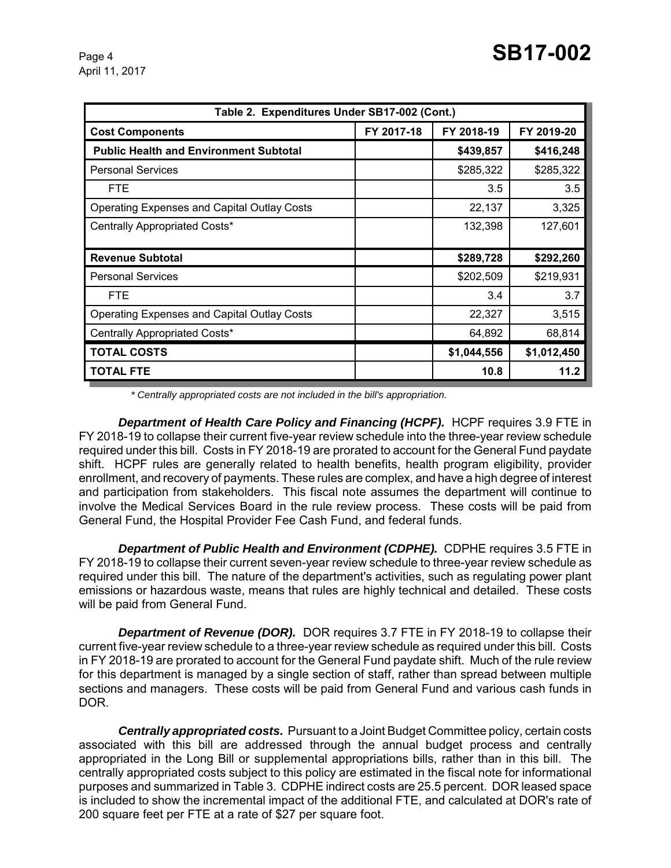| Table 2. Expenditures Under SB17-002 (Cont.)       |            |             |             |
|----------------------------------------------------|------------|-------------|-------------|
| <b>Cost Components</b>                             | FY 2017-18 | FY 2018-19  | FY 2019-20  |
| <b>Public Health and Environment Subtotal</b>      |            | \$439,857   | \$416,248   |
| <b>Personal Services</b>                           |            | \$285,322   | \$285,322   |
| <b>FTE</b>                                         |            | 3.5         | 3.5         |
| <b>Operating Expenses and Capital Outlay Costs</b> |            | 22,137      | 3,325       |
| Centrally Appropriated Costs*                      |            | 132,398     | 127,601     |
|                                                    |            |             |             |
| <b>Revenue Subtotal</b>                            |            | \$289,728   | \$292,260   |
| <b>Personal Services</b>                           |            | \$202,509   | \$219,931   |
| <b>FTE</b>                                         |            | 3.4         | 3.7         |
| <b>Operating Expenses and Capital Outlay Costs</b> |            | 22,327      | 3,515       |
| Centrally Appropriated Costs*                      |            | 64,892      | 68,814      |
| <b>TOTAL COSTS</b>                                 |            | \$1,044,556 | \$1,012,450 |
| <b>TOTAL FTE</b>                                   |            | 10.8        | 11.2        |

 *\* Centrally appropriated costs are not included in the bill's appropriation.*

**Department of Health Care Policy and Financing (HCPF).** HCPF requires 3.9 FTE in FY 2018-19 to collapse their current five-year review schedule into the three-year review schedule required under this bill. Costs in FY 2018-19 are prorated to account for the General Fund paydate shift. HCPF rules are generally related to health benefits, health program eligibility, provider enrollment, and recovery of payments. These rules are complex, and have a high degree of interest and participation from stakeholders. This fiscal note assumes the department will continue to involve the Medical Services Board in the rule review process. These costs will be paid from General Fund, the Hospital Provider Fee Cash Fund, and federal funds.

*Department of Public Health and Environment (CDPHE).* CDPHE requires 3.5 FTE in FY 2018-19 to collapse their current seven-year review schedule to three-year review schedule as required under this bill. The nature of the department's activities, such as regulating power plant emissions or hazardous waste, means that rules are highly technical and detailed. These costs will be paid from General Fund.

**Department of Revenue (DOR).** DOR requires 3.7 FTE in FY 2018-19 to collapse their current five-year review schedule to a three-year review schedule as required under this bill. Costs in FY 2018-19 are prorated to account for the General Fund paydate shift. Much of the rule review for this department is managed by a single section of staff, rather than spread between multiple sections and managers. These costs will be paid from General Fund and various cash funds in DOR.

*Centrally appropriated costs.* Pursuant to a Joint Budget Committee policy, certain costs associated with this bill are addressed through the annual budget process and centrally appropriated in the Long Bill or supplemental appropriations bills, rather than in this bill. The centrally appropriated costs subject to this policy are estimated in the fiscal note for informational purposes and summarized in Table 3. CDPHE indirect costs are 25.5 percent. DOR leased space is included to show the incremental impact of the additional FTE, and calculated at DOR's rate of 200 square feet per FTE at a rate of \$27 per square foot.